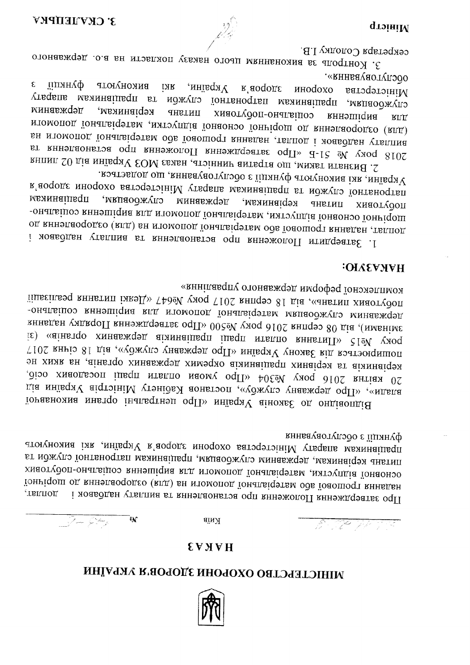

# МІНІСТЕРСТВО ОХОРОНИ ЗДОРОВ'Я УКРАЇНИ

### **HAKA3**

аїнЯ

 $\frac{\partial}{\partial x^2} = \frac{\partial}{\partial y^2} + \frac{\partial}{\partial y^2} + \frac{\partial}{\partial y^2} + \frac{\partial}{\partial y^2} + \frac{\partial}{\partial y^2} + \frac{\partial}{\partial y^2} + \frac{\partial}{\partial y^2} + \frac{\partial}{\partial y^2} + \frac{\partial}{\partial y^2} + \frac{\partial}{\partial y^2} + \frac{\partial}{\partial y^2} + \frac{\partial}{\partial y^2} + \frac{\partial}{\partial y^2} + \frac{\partial}{\partial z^2} + \frac{\partial}{\partial z^2} + \frac{\partial}{\partial z^2} + \frac{\partial}{\partial z^2} + \frac{\partial$ 

функції з обслуговування лрацівникам апарату Міністерства охорони здоров'я України, які виконують питань керівникам, державним службовцям, працівникам патронатної служби та хиаотудоп-онагациоз кннэшіqиа кгд итомопод їонапаіфэтвм ихтоупдіа їонаоноо їониі од книэпао родео (кцд) вн мтомопод їонапві сртви од віоношо су нивден і хоавддан үтвипна эт вннэцаонатов одп вннэжопоП вннэждфатае одП доплат,

комплексної реформи державного управління» побутових питань», від 18 серпня 2017 год Меду Меду, критини кинетини реалізації -онапаіцоз кннэшіqна клд итомопод їонапаіqэтвм мяцаоджуло минавждэд зинады улдарды 2016 року №500 «Пр одзатвердження Порядку надання is) «аінвтqо хинавжqэд аімниаінвqп інвqп итвппо вннвтиП»  $\zeta$ 190 ухоq поширюється дія Закону України «Про державну службу», від 18 січня 2017 эн хияк вн , аінвтоо хинавж дэд химэ дхо аіяннаі цвал хинаі дэя вт аіяннаі дэя 20 квітня 2016 року №304 «Про умови оплати праці посадових осіб, діа мнівqя чіqтэініМ утэнідь доньтэоп , «уджугэ унавждэд оqП» , «мдына Горчавно до Законја України «Про центральні органи виконавчої

### **НАКАЗУЮ:**

ダー・マピー カメール・マニ

України, які виконують функції з обслуговування, що додається. в'аородє мнофохо ватэфэтэініМ vraqams мажнаіше зг нджугэ їонтьнофтап мвининапиедп службовцям, мннавждэд керівникам, ПИТАНЬ хияотудоп -онапаіноз кннэшіqиа кид итомопод їонапаіфэтвм дихтэупдіа їонаоноо їониіqош оц кннэпаородго (кид) вн итомопод їонапвірэтвм одв їоаошорт кнняден двипод 1. Затвердити Положення про встановлення вт пиплату надбавок і

обслуговування». флици виконують  $\epsilon$ **INR**  $Y$ країни,  $R$ 'aoqo $\Omega$ s иноdохо ватэдэтэініМ службовцям, працівникам патронатної служби та працівникам апарату минавждэд керівникам, хиаотудоп-онагаіноэ ЛИТАНЬ кннэшіqма  $\mathrm{R}\Pi$ итомопод їонапаіфетам, читоупдія їонаоноо їониі пощо до кни попомоги ви итомопод їонапаіфэтви ода їоношофт книвдан двипод і хонаддан утаплин 2018 року № 51-Б «Про затвердження Положення про встановлення та 2. Визнати таким, що втратив чинність, наказ МОЗ України від 02 липня

секретаря Солодку I.В. 3. Контроль за виконанням цього наказу покласти на в.о. державного

D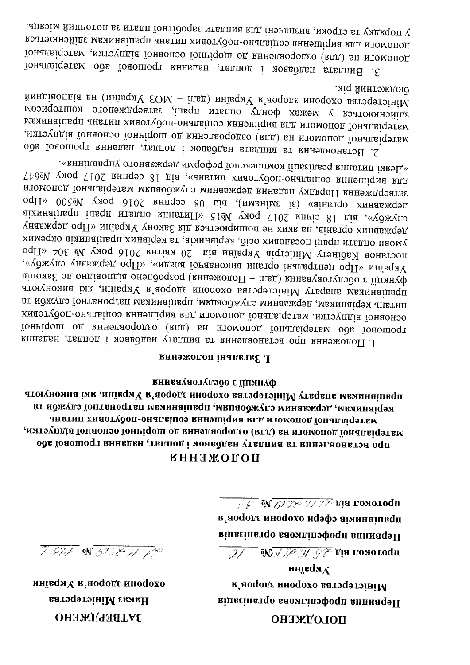ОНЯЖГОЛОП

инцеdм $\Lambda$ кеороте ннодохо ватэдэтэініМ кіпаєінатрофотліпофоди внимаць

 $7.847$  on 62.78 at 12

мнівqи V каороде мноqохо

**Hakas Minicrepersa** 

**ЭАТВЕРДЖЕНО** 

**Allents of the State of Severe Settlem** Manuscript

 $\sqrt{\frac{1}{2}\mathcal{E}}$  М $\sqrt{\frac{1}{2}\mathcal{N}^2}\mathcal{W}^2$  д $\sqrt{\frac{1}{2}\mathcal{N}^2}$ ија помото<code>qn</code> в'аоqодє мноqохо нqэфэ аімнаіивqп кіпаєіна профспілюва організація

## **КННЯЖОГОП**

Функції з обслуговування атогуномна імя диністерства охорони здоров'я України, які виконують кт нджугэ їонтвнодтви мвиннаіцвоп дививоджугэ минавждэд двиннаі дэн анвтип хмаотудоп-оналациоэ вниэшіqиа влд итомопод їоналаіфэтвм матэупціа їонаонэо їониі дош од кннэлаододео (клд) вн мломопод їонапві дэтвм, ода їоаошодт книвдан двипод і моавддан утапина вт книэпаонатэа одп

#### **RHHOЖOLON** iHALLETSE .I

«деякі питання реалізації комплексної реформи державного управління». для виршення соціально-побутових питань», від 18 серпня 2017 року Меб47 затвердження Порядку надання державним службовцям матеріальної допомоги лержавних организми), від 08 серпня 2016 року №500 кліва аіяннаіше працы 2017 року №15 сідм стання оплати працівників державних органів, на яких не поширюється дія Закону України «Про державну умови оплати праці посадових осіб, керівників, та керівних працівників окремих постанов Кабінету Міністрів України від 20 квітна 2016 року № 304 «Про україни «Про центральні органи виконавної влади», «Про державну службу», аіномь со ондія опалія онэпдодеод (вннэжопоП - іпед) внная даотуподо є їіпинуф лрацівникам апарату Міністерства охорони здоров'я України, які виконують питань керівникам, державним службовцям, працівникам патронатної служби та хиаотудоп-онапаіцоз кннэшіqиа кид мломопод їонапаіфэтвм дитоупдіа їонаоноо їониі од вннэпао со (вид) вн итомопод їонапаі срав їоношо торічної яннадан дро встановления вт книэлаонатов одп книэжопоП. 1

мід йинтэждою. йиндіаопдіа вн (мнівqяV EOM - іпвд) мнівqяV к'аоqодє мноqохо ватофтоніМ здійснюються у межах фонду оплати праці, затвердженого кошторисом матеріальної допомоги для вирішення соціально-побутових питань працівникам матеріальної допомоги на (для) оздоровлення до щорічної основної відпустки, 2. Встановлення та виплата надбавок і доплат, надання грошової або

у порядку та строки, визначені для виплати заробітної плати за поточний місяць. допомоги для вирішення соціально-побутових питань працівникам здійснюється понапагі за видать у таких до порічної основної відпустки, матеріальної їонапатарива в доплат, надвини трошової збо матеріальної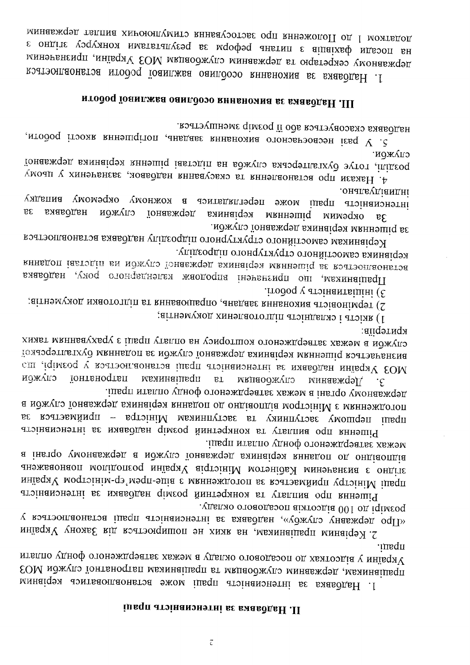# іпвqп атэінанэнэтні ве виавддвН . П

праци. України у відсотках до посадового окладу в межах затвердженого фонду оплати том иджуго тонганости из правители из працияти патронатної служби МОЗ минацера за інтенсивність праці може встановлюватись керівним

удалио отоводстоп віжгоздів 001 од іqімгоq «Ч19 срждену службу», надбавка за інтенсивність праці встановлюється у 2. Керівним працівникам, на кими не поширюється дія Закону України

ливоп итвппо удноф отонеждения к изме а інвтор умонавжоет а можуго їонавжоет виннаісея внивілоп од онілаопіла анэжваонаоп мопідопсоq мнівqяV аіqтэініМ мотэнідь Минэнвнєна є ондітє праці Міністру приймається за погодженням з віце-прем'єр-міністром України Рішення про виплату га конкретний розмір надоваки за итенсивність

лержавному органі в межах затвердженого фонду оплати праці. а иджуго їонавждэд вяннаі дэя внны оп од ондіаопдіа модтэіні Мемянэждотоп ве концому заступнику та заступникам Міністра - приймається за  $t$ med $u$ Рішення про виплату та конкретний розмір надбавки за інтенсивність

критерив: служби в межах затвердженого кошторису на оплату праці з урахуваннам таких толаэсться рішенням керівника державної служби за поданням бухгалтерської мОЗ України надбавки за інтенсивність праці встановлюється у розмірі, що <u>іонтвноqтвп</u> працівникам иожлю мипноджупо  $\mathbf{B}\mathbf{T}$ минавждэд.  $\cdot$ c

заітнэму ход хинэлаототдіп атэіндыхэ і атэіяк (І

2) терміновість виконання завдань, опрацювання та підготовки документів;

подод у атэннамтвіціні (Е

уцикордин отондутурного структурного підрозділу. книвдоп іавтодіп вн можуцо їонавжена виннайсь миннеші с востоянаються Працівникам, по призначені впродовж календарного року, надбавка

мджугэ тонавждэд вяинатдэя мвннэшід ва Керівникам самостійного структурного підрозділу надбавка встановлюється

онапеудіандні итенсивність праці може переглядатись в кожному окремому випадку державної служби  $\mathfrak{B}\mathfrak{C}$ надозвка керівника мвннэшіq мимәдио  $\mathbf{g}$ 

служои. гонавждэд аухгалтерська служба на підставі рішення керівника державної 4. Накази про встановлення та скасування надбавок, зазначених у цьому

надбавка скасовується або її розмір зменшується. 5. У разі несвоєчасного виконання завдань, погіршення якості роботи,

# ИГ. Надбавка за виконання особливо важливої роботи

додатком 1 до Положення про застосування стимулюючих виплат державним в ондіте уздуном митань реформ за результатами конкурсу згідно з минэнвному секретарю та державним службовцям МОЗ України, призначеним 1. Надбавка за виконання особливо важливої роботи встановлюється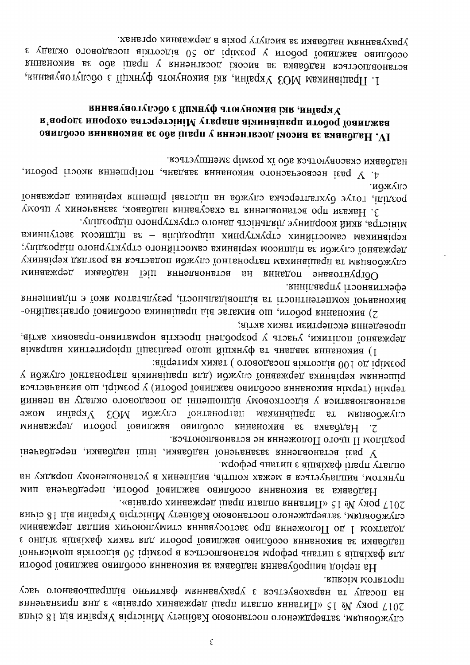кивэім мотвтофи. узен отонваоацвепија онитивф маннваухверу г коатэуаохверн вт удеооп вн 2017 року № 15 «Еньтина оплати праці державних органів» з дни призначення сиумбовцям, затвердженого постановою Кабінету Міністрів України від 18 січня

«аінвто хинавжоэд інвоп итвипо вннатиП» с і ей ухоо Г102 службовцям, затвердженого постановою Кабінету Міністрів України від 18 січня минавжен 1 до Положення про застосування стимулюючих виплат державним є ондітє аіцаіхвф химвт вид нтодоц їоанижва оанидоэо внивнояма ве ниавдцен тонькоімош аімтоодіа 02 іqімгоq а коатэоплаоньтоа моофэq аньтип є аіпаіхвф кпд На період випробування надбавка за виконання особливо важливої роботи

мофэд анвтип є аіцаіхвф іць путанпо ви улдвоп умонеленских коштів, виділених в установленому порядку на Надбавка за виконання особливо важливої роботи, передбачена цим

, кэатою пароменна не встановлються. у разі встановлення зазаначеної надбавки, інші надбавки, передбачені

заїі дэтно 100 восокна посадового ) таких критеріїв: у ножуго їонтаностви аіминаіць кли) ножуго їонавждэц виннаідэя миннэшід термін (термін виконання особливо важливої роботи) у розмірі, що визначається йинаэп вн удагмо отоаодазоп од іннэшондіа умоаолтоэдіа у кэмтваоллаонатэа **ЕОМ нджулэ тонтаноттые мехиницияся** әжом україни  $ra$ мкиноджупо Минавждэд игодон за виконо важливої роботи державним  $\cdot$ .

проведення експертизи таких актів; державної політики, участь у розроблені проєктів нормативитоно-правових актів, аімкqпын хинтэтиqоіqп їінесіпьэq одош йінинуф вт анвдаве внивнояма (1

янніпавдпу ітэонантиэфэ виконавчої компетатися з відповідальності, результатом якої є підвишення -онйіцвеінь по йони досо вимнайня працівника особливо організаційно-

уцідгоддіп отондутяу топны атэінапиід эунид фом йиж е атэінім. керівникам самостійних структурних підрозділів - за підписом заступника диідеоqдіп отоноутукут отонйітэомбэ виннаіфэя моэнщіп ве нджугэ їонавженд службовцям та працівникам патронатної служби подається на розгляд керівнику мяабдан їэіц кннэпаонатэа ан кннадоп энааотнуфто минавждэд

служби. розпілі, готує бухгалтерська служба на підставі рішення керівника державної 3. Накази про встановлення та скасування надбавок, зазначених у цьому

надбавки скасовуються або їх розмір зменшується. 4. У разі несвоєчасного виконання завдань, погіршення якості роботи,

# хинвауаотугодо с їінинуф атогуномиа імя , мнівqиУ важливої роботи працівники впаряту Міністерства охорони здоров'я оанпоозо книвножна ве одв інвоп у пращі во за виконання особливо

уракурениям надобавки вислугу років в державних органах. е удапио отоводьзоп вінтоэдів 02 од іqімеоq у итодоq їовитжва овипдозо встановлюється надбавка за високі досягнення у праці або за виконання 1. Працівникам МОЗ України, які виконують функції з обслуговування,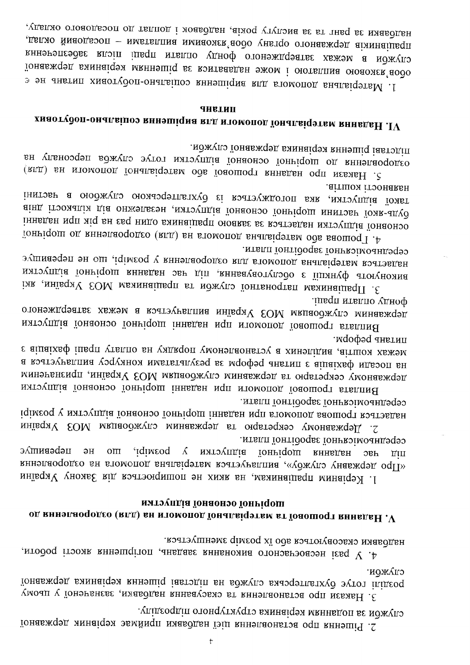упідгоддіп отондутиудто виннаідэя мвннадоп ає нджудз 2. Рішення про встановлення цієї надбавки приймає керівник державної

служби. тонавждэд виннаі дэя кннэші діавтэдіп вн вджудэ виночельскую эутот іцідеод 3. Накази про встановлення та скасування надбавки, зазначеної у цьому

надбавки скасовуються або їх розмір зменшується. 4. У разі несвоєчасного виконання завдань, погіршення якості роботи,

# мятэупдіа їонаонэо їонгіqош од вннэглаододео (втд) вн нтомопод їонапвідэтвм вт їоношодт вннвдв $\rm H$  . $\rm V$

ктапи їонтідофає їоникоїмодицефо не перевишує иорічної відпустки у розмірі,  $OTI$ кннадан эвг «Про державну службу», виплачується матеріальна допомога на оздоровлення 1. Керівним працівникам, на ихих не поширюється дія Закону України

итвип їонтідоць іоникоімодицеро іqімєоq у мятэупдіа їонаоноо їониі дош іннадан ноп втомопод ваошоqт вэатэвдвн 2. Державному секретари та державним службовцям MO3 України

литань реформ. межах коштів, виділених в установленому порядку на оплату праці дахівців з на посади фахівців з питань реформ за результатами конкурсу виплачується в державному секретарю та державним службовцям МОЗ України, призначеним Виплата грошової допомоги при надани шорічної основної відпустки

.ішаqп итвипо удноф лержавним службовцям МОЗ України виплачується в межах затвердженого Виплата грошової допомоги при наданні шорічної основної відпустки

ктвпп їонтідоцьє їонивоїмодидеро. чадається матеріальна допомога для оздоровлення у розмірі, що не перевищує виконують функції з обслуговування, під час надання шорічної відпустки іля инйваду ЕОМ матної служби та працівникам МОЗ України, які

аітшох ітэонаван такої відпустки, яка погоджується із бухгалтерською службою в частині вінд ітэомація дія онжэпеєэн дитэупдія їонаонэо їониі дош мнитэви їоме-адуб інныды ноп міq вн євq ницо виннація оновкиє ве коатэвден имтоупдіа їонаоноо тоницош од вниэпаоордео (илд) вн втомопод внапаторов ваошоот 1. Р

мджугэ їонавждэд виннаідэя вннэшід іавтэдіп. оздоровлення до шорічної основної відпустки готує служба персоналу на (кид) вн итомопод їонапві фэтви од іоношорт книвден одп иєвивН . С

# **ПИТАНЬ** хиаотудоп-оналагіноз кннэшіqна клд мтомопод їональіqэтвм кннвдаН . ${\bf IV}$

надбавки за ранг та за вислуту років, надбавок і доплат до посадового окладу, дяцівників державного органу обов'язковими виплатами - посадовий оклад, служби в межах затвердженого фонду оплати праці після забезпечення тонавждэд виннаіцэя мкннэшіц вє контвавдан эжом і оютвплиа оюаожек аодо з эн анвтип хиаотудоп-онапацоо вннэшіqиа кид втомопод внапаіфэтвМ .1